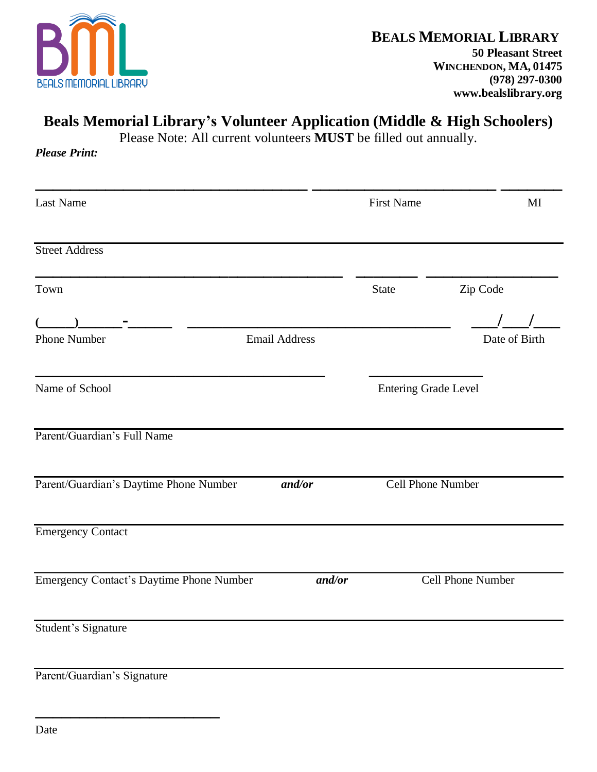

## **Beals Memorial Library's Volunteer Application (Middle & High Schoolers)**

Please Note: All current volunteers **MUST** be filled out annually.

*Please Print:*

| <b>Last Name</b>                         |                      |        | <b>First Name</b>           |                   | MI |
|------------------------------------------|----------------------|--------|-----------------------------|-------------------|----|
| <b>Street Address</b>                    |                      |        |                             |                   |    |
| Town                                     |                      |        | <b>State</b>                | Zip Code          |    |
|                                          |                      |        |                             |                   |    |
| <b>Phone Number</b>                      | <b>Email Address</b> |        |                             | Date of Birth     |    |
| Name of School                           |                      |        | <b>Entering Grade Level</b> |                   |    |
| Parent/Guardian's Full Name              |                      |        |                             |                   |    |
| Parent/Guardian's Daytime Phone Number   |                      | and/or | Cell Phone Number           |                   |    |
| <b>Emergency Contact</b>                 |                      |        |                             |                   |    |
| Emergency Contact's Daytime Phone Number |                      | and/or |                             | Cell Phone Number |    |
| Student's Signature                      |                      |        |                             |                   |    |
| Parent/Guardian's Signature              |                      |        |                             |                   |    |

**\_\_\_\_\_\_\_\_\_\_\_\_\_\_\_\_\_\_\_\_\_**